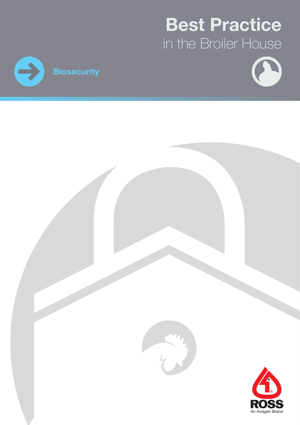# Best Practice in the Broiler House





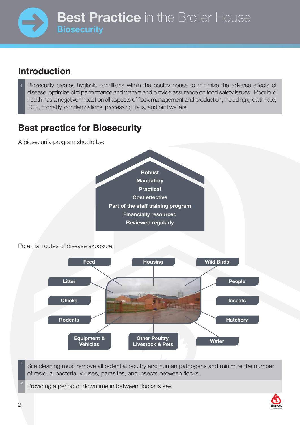### Introduction

Biosecurity creates hygienic conditions within the poultry house to minimize the adverse effects of disease, optimize bird performance and welfare and provide assurance on food safety issues. Poor bird health has a negative impact on all aspects of flock management and production, including growth rate, FCR, mortality, condemnations, processing traits, and bird welfare.

### Best practice for Biosecurity

A biosecurity program should be:





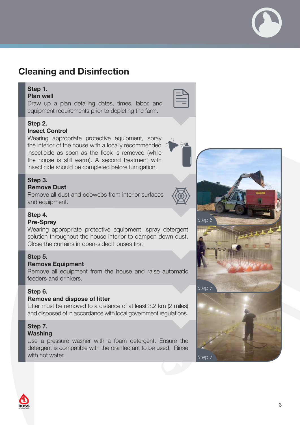### Cleaning and Disinfection

### Step 1.

Plan well

Draw up a plan detailing dates, times, labor, and equipment requirements prior to depleting the farm.

### Step 2.

#### Insect Control

Wearing appropriate protective equipment, spray the interior of the house with a locally recommended insecticide as soon as the flock is removed (while the house is still warm). A second treatment with insecticide should be completed before fumigation.

#### Step 3.

### Remove Dust

Remove all dust and cobwebs from interior surfaces and equipment.



### Step 4.

#### Pre-Spray

Wearing appropriate protective equipment, spray detergent solution throughout the house interior to dampen down dust. Close the curtains in open-sided houses first.

#### Step 5.

#### Remove Equipment

Remove all equipment from the house and raise automatic feeders and drinkers.

### Step 6.

#### Remove and dispose of litter

Litter must be removed to a distance of at least 3.2 km (2 miles) and disposed of in accordance with local government regulations.

### Step 7.

### Washing

Use a pressure washer with a foam detergent. Ensure the detergent is compatible with the disinfectant to be used. Rinse with hot water.



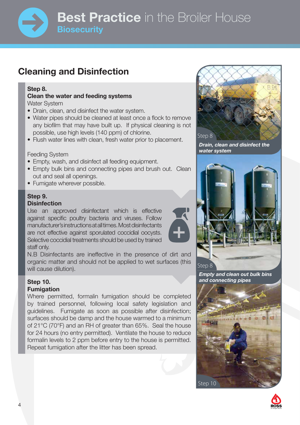### **Best Practice** in the Broiler House **Biosecurity**

### Cleaning and Disinfection

### Step 8.

#### Clean the water and feeding systems Water System

- Drain, clean, and disinfect the water system.
- Water pipes should be cleaned at least once a flock to remove any biofilm that may have built up. If physical cleaning is not possible, use high levels (140 ppm) of chlorine.
- Flush water lines with clean, fresh water prior to placement.

#### Feeding System

- Empty, wash, and disinfect all feeding equipment.
- Empty bulk bins and connecting pipes and brush out. Clean out and seal all openings.
- Fumigate wherever possible.

#### Step 9. **Disinfection**

Use an approved disinfectant which is effective against specific poultry bacteria and viruses. Follow manufacturer's instructions at all times. Most disinfectants are not effective against sporulated coccidial oocysts. Selective coccidial treatments should be used by trained staff only.

N.B Disinfectants are ineffective in the presence of dirt and organic matter and should not be applied to wet surfaces (this will cause dilution).

#### Step 10. Fumigation

Where permitted, formalin fumigation should be completed by trained personnel, following local safety legislation and guidelines. Fumigate as soon as possible after disinfection; surfaces should be damp and the house warmed to a minimum of 21°C (70°F) and an RH of greater than 65%. Seal the house for 24 hours (no entry permitted). Ventilate the house to reduce formalin levels to 2 ppm before entry to the house is permitted. Repeat fumigation after the litter has been spread.



Drain, clean and disinfect the water system



Empty and clean out bulk bins and connecting pipes



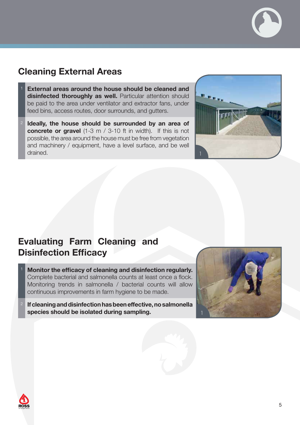

- External areas around the house should be cleaned and disinfected thoroughly as well. Particular attention should be paid to the area under ventilator and extractor fans, under feed bins, access routes, door surrounds, and gutters.
- Ideally, the house should be surrounded by an area of concrete or gravel (1-3 m / 3-10 ft in width). If this is not possible, the area around the house must be free from vegetation and machinery / equipment, have a level surface, and be well drained.



### Evaluating Farm Cleaning and Disinfection Efficacy

- Monitor the efficacy of cleaning and disinfection regularly. Complete bacterial and salmonella counts at least once a flock. Monitoring trends in salmonella / bacterial counts will allow continuous improvements in farm hygiene to be made.
- <sup>2</sup> If cleaning and disinfection has been effective, no salmonella species should be isolated during sampling.



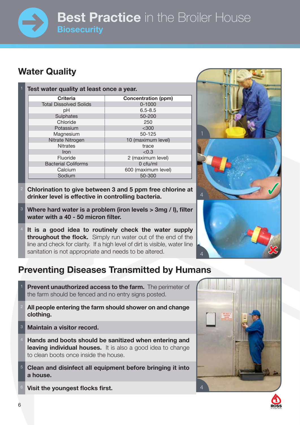## **Best Practice** in the Broiler House **Biosecurity**

### Water Quality

| <b>Concentration (ppm)</b> |
|----------------------------|
|                            |
|                            |
|                            |
|                            |
|                            |
|                            |
| 10 (maximum level)         |
|                            |
|                            |
| 2 (maximum level)          |
|                            |
| 600 (maximum level)        |
|                            |
|                            |

- <sup>2</sup> Chlorination to give between 3 and 5 ppm free chlorine at drinker level is effective in controlling bacteria.
- <sup>3</sup> Where hard water is a problem (iron levels > 3mg / l), filter water with a 40 - 50 micron filter.
- It is a good idea to routinely check the water supply **throughout the flock.** Simply run water out of the end of the line and check for clarity. If a high level of dirt is visible, water line sanitation is not appropriate and needs to be altered.

### Preventing Diseases Transmitted by Humans

- **Prevent unauthorized access to the farm.** The perimeter of the farm should be fenced and no entry signs posted.
- All people entering the farm should shower on and change clothing.
- <sup>3</sup> Maintain a visitor record.
- Hands and boots should be sanitized when entering and leaving individual houses. It is also a good idea to change to clean boots once inside the house.
- <sup>5</sup> Clean and disinfect all equipment before bringing it into a house.
- Visit the youngest flocks first.





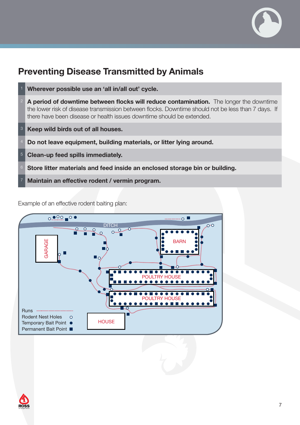

### Preventing Disease Transmitted by Animals



Example of an effective rodent baiting plan: